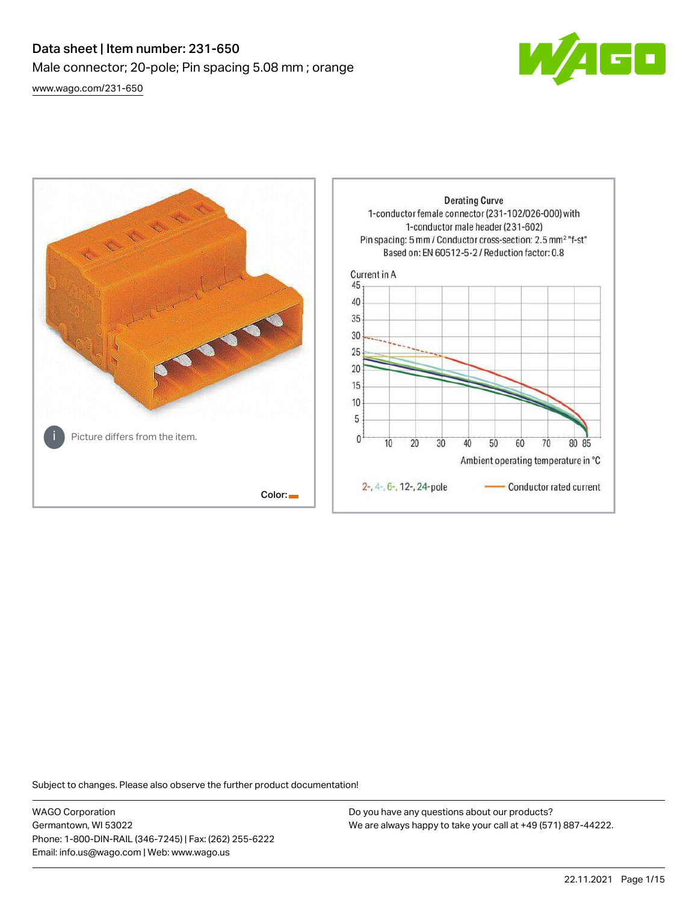# Data sheet | Item number: 231-650 Male connector; 20-pole; Pin spacing 5.08 mm ; orange [www.wago.com/231-650](http://www.wago.com/231-650)



**Derating Curve** 1-conductor female connector (231-102/026-000) with 1-conductor male header (231-602) Pin spacing: 5 mm / Conductor cross-section: 2.5 mm<sup>2</sup> "f-st" Based on: EN 60512-5-2 / Reduction factor: 0.8 Current in A 45 40 35 30 25  $20$ 15 10 5 Picture differs from the item.  $\mathbf{0}$  $10$ 20 30 40 50 60 70 80 85 Ambient operating temperature in °C 2-, 4-, 6-, 12-, 24-pole Conductor rated current Color:

Subject to changes. Please also observe the further product documentation!

WAGO Corporation Germantown, WI 53022 Phone: 1-800-DIN-RAIL (346-7245) | Fax: (262) 255-6222 Email: info.us@wago.com | Web: www.wago.us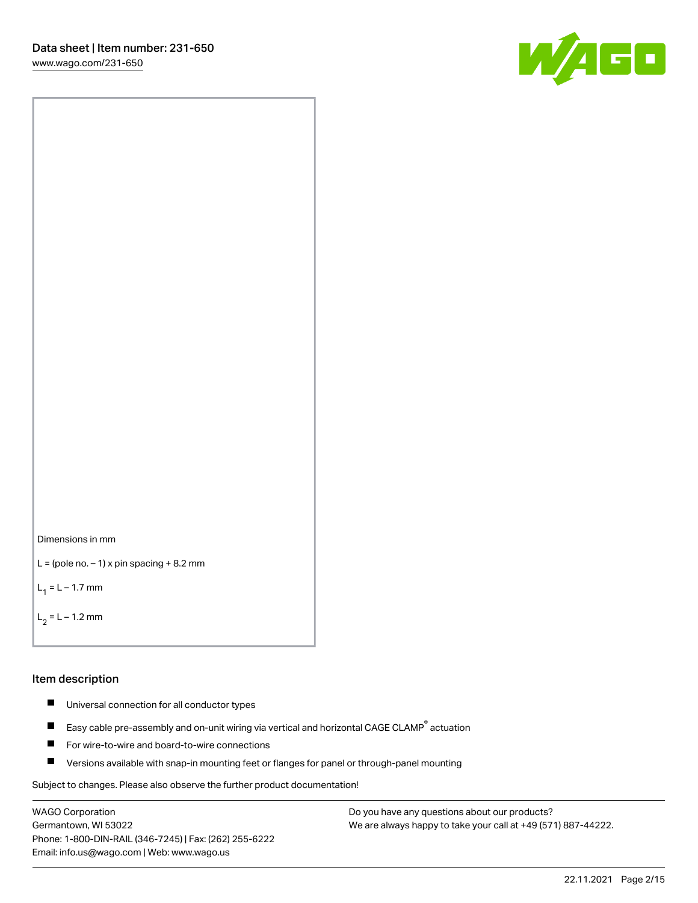60



```
L = (pole no. -1) x pin spacing +8.2 mm
```
 $L_1 = L - 1.7$  mm

```
L_2 = L - 1.2 mm
```
#### Item description

- $\blacksquare$ Universal connection for all conductor types
- Easy cable pre-assembly and on-unit wiring via vertical and horizontal CAGE CLAMP<sup>®</sup> actuation  $\blacksquare$
- П For wire-to-wire and board-to-wire connections
- $\blacksquare$ Versions available with snap-in mounting feet or flanges for panel or through-panel mounting

Subject to changes. Please also observe the further product documentation!

WAGO Corporation Germantown, WI 53022 Phone: 1-800-DIN-RAIL (346-7245) | Fax: (262) 255-6222 Email: info.us@wago.com | Web: www.wago.us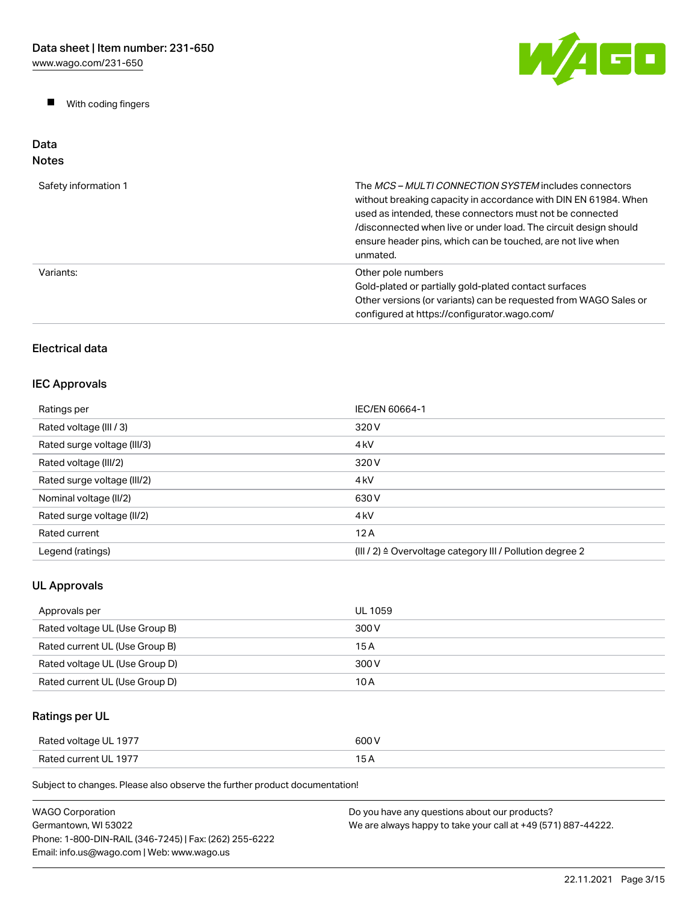$\blacksquare$ With coding fingers



#### Data Notes

| Safety information 1 | The MCS-MULTI CONNECTION SYSTEM includes connectors<br>without breaking capacity in accordance with DIN EN 61984. When<br>used as intended, these connectors must not be connected<br>/disconnected when live or under load. The circuit design should<br>ensure header pins, which can be touched, are not live when<br>unmated. |
|----------------------|-----------------------------------------------------------------------------------------------------------------------------------------------------------------------------------------------------------------------------------------------------------------------------------------------------------------------------------|
| Variants:            | Other pole numbers<br>Gold-plated or partially gold-plated contact surfaces<br>Other versions (or variants) can be requested from WAGO Sales or<br>configured at https://configurator.wago.com/                                                                                                                                   |

## Electrical data

## IEC Approvals

| Ratings per                 | IEC/EN 60664-1                                                       |
|-----------------------------|----------------------------------------------------------------------|
| Rated voltage (III / 3)     | 320 V                                                                |
| Rated surge voltage (III/3) | 4 <sub>kV</sub>                                                      |
| Rated voltage (III/2)       | 320 V                                                                |
| Rated surge voltage (III/2) | 4 <sub>k</sub> V                                                     |
| Nominal voltage (II/2)      | 630 V                                                                |
| Rated surge voltage (II/2)  | 4 <sub>k</sub> V                                                     |
| Rated current               | 12A                                                                  |
| Legend (ratings)            | (III / 2) $\triangleq$ Overvoltage category III / Pollution degree 2 |

## UL Approvals

| Approvals per                  | UL 1059 |
|--------------------------------|---------|
| Rated voltage UL (Use Group B) | 300 V   |
| Rated current UL (Use Group B) | 15 A    |
| Rated voltage UL (Use Group D) | 300 V   |
| Rated current UL (Use Group D) | 10 A    |

# Ratings per UL

| Rated voltage UL 1977 | 600 V |
|-----------------------|-------|
| Rated current UL 1977 | . .   |

| WAGO Corporation                                       | Do you have any questions about our products?                 |
|--------------------------------------------------------|---------------------------------------------------------------|
| Germantown, WI 53022                                   | We are always happy to take your call at +49 (571) 887-44222. |
| Phone: 1-800-DIN-RAIL (346-7245)   Fax: (262) 255-6222 |                                                               |
| Email: info.us@wago.com   Web: www.wago.us             |                                                               |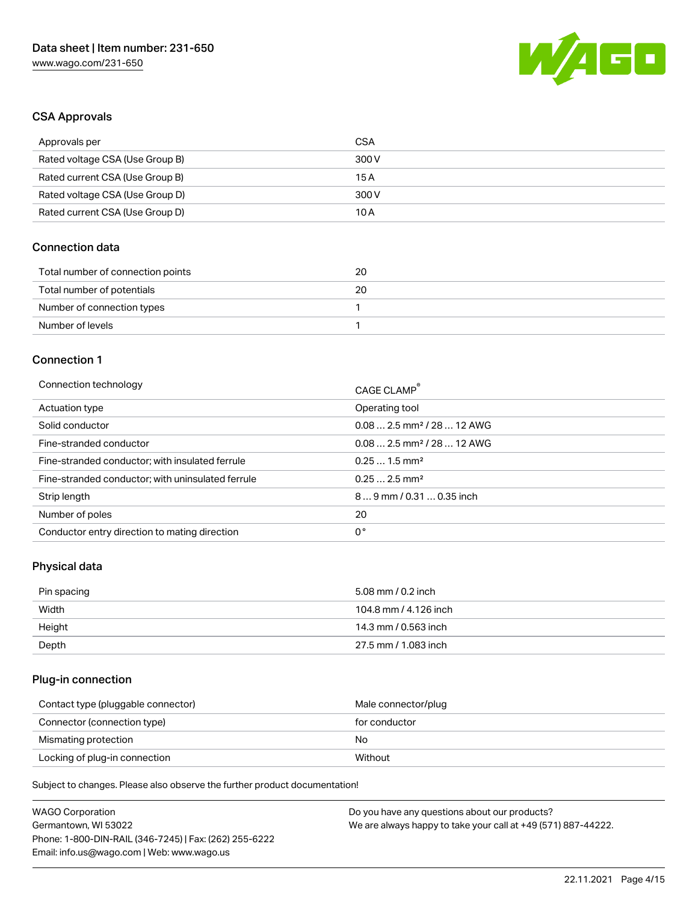

### CSA Approvals

| Approvals per                   | CSA   |
|---------------------------------|-------|
| Rated voltage CSA (Use Group B) | 300 V |
| Rated current CSA (Use Group B) | 15 A  |
| Rated voltage CSA (Use Group D) | 300 V |
| Rated current CSA (Use Group D) | 10 A  |

### Connection data

| Total number of connection points | 20 |
|-----------------------------------|----|
| Total number of potentials        | 20 |
| Number of connection types        |    |
| Number of levels                  |    |

#### Connection 1

| Connection technology                             | CAGE CLAMP <sup>®</sup>                |
|---------------------------------------------------|----------------------------------------|
| Actuation type                                    | Operating tool                         |
| Solid conductor                                   | $0.082.5$ mm <sup>2</sup> / 28  12 AWG |
| Fine-stranded conductor                           | $0.082.5$ mm <sup>2</sup> / 28  12 AWG |
| Fine-stranded conductor; with insulated ferrule   | $0.251.5$ mm <sup>2</sup>              |
| Fine-stranded conductor; with uninsulated ferrule | $0.252.5$ mm <sup>2</sup>              |
| Strip length                                      | $89$ mm / 0.31  0.35 inch              |
| Number of poles                                   | 20                                     |
| Conductor entry direction to mating direction     | 0°                                     |

### Physical data

| Pin spacing | 5.08 mm / 0.2 inch    |
|-------------|-----------------------|
| Width       | 104.8 mm / 4.126 inch |
| Height      | 14.3 mm / 0.563 inch  |
| Depth       | 27.5 mm / 1.083 inch  |

## Plug-in connection

| Contact type (pluggable connector) | Male connector/plug |
|------------------------------------|---------------------|
| Connector (connection type)        | for conductor       |
| Mismating protection               | No                  |
| Locking of plug-in connection      | Without             |

| <b>WAGO Corporation</b>                                | Do you have any questions about our products?                 |
|--------------------------------------------------------|---------------------------------------------------------------|
| Germantown, WI 53022                                   | We are always happy to take your call at +49 (571) 887-44222. |
| Phone: 1-800-DIN-RAIL (346-7245)   Fax: (262) 255-6222 |                                                               |
| Email: info.us@wago.com   Web: www.wago.us             |                                                               |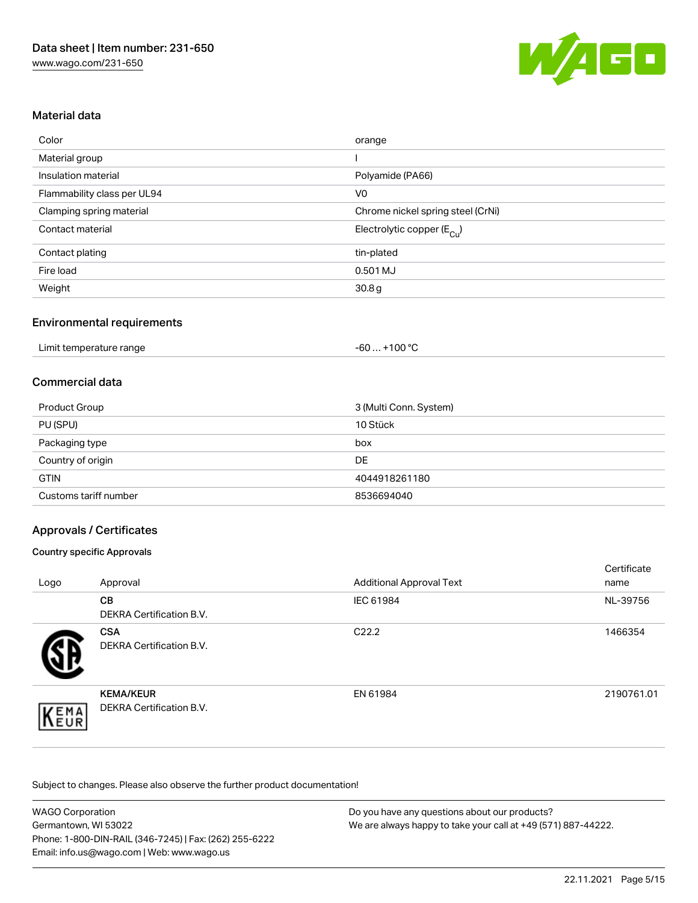

## Material data

| Color                       | orange                                |
|-----------------------------|---------------------------------------|
| Material group              |                                       |
| Insulation material         | Polyamide (PA66)                      |
| Flammability class per UL94 | V <sub>0</sub>                        |
| Clamping spring material    | Chrome nickel spring steel (CrNi)     |
| Contact material            | Electrolytic copper $(E_{\text{Cl}})$ |
| Contact plating             | tin-plated                            |
| Fire load                   | 0.501 MJ                              |
| Weight                      | 30.8 <sub>g</sub>                     |

### Environmental requirements

| Limit temperature range | $-60+100 °C$ |  |
|-------------------------|--------------|--|
|-------------------------|--------------|--|

### Commercial data

| Product Group         | 3 (Multi Conn. System) |
|-----------------------|------------------------|
| PU (SPU)              | 10 Stück               |
| Packaging type        | box                    |
| Country of origin     | <b>DE</b>              |
| <b>GTIN</b>           | 4044918261180          |
| Customs tariff number | 8536694040             |

### Approvals / Certificates

#### Country specific Approvals

| Logo | Approval                                     | <b>Additional Approval Text</b> | Certificate<br>name |
|------|----------------------------------------------|---------------------------------|---------------------|
|      | <b>CB</b><br><b>DEKRA Certification B.V.</b> | IEC 61984                       | NL-39756            |
|      | <b>CSA</b><br>DEKRA Certification B.V.       | C <sub>22.2</sub>               | 1466354             |
| EMA  | <b>KEMA/KEUR</b><br>DEKRA Certification B.V. | EN 61984                        | 2190761.01          |

| <b>WAGO Corporation</b>                                | Do you have any questions about our products?                 |
|--------------------------------------------------------|---------------------------------------------------------------|
| Germantown, WI 53022                                   | We are always happy to take your call at +49 (571) 887-44222. |
| Phone: 1-800-DIN-RAIL (346-7245)   Fax: (262) 255-6222 |                                                               |
| Email: info.us@wago.com   Web: www.wago.us             |                                                               |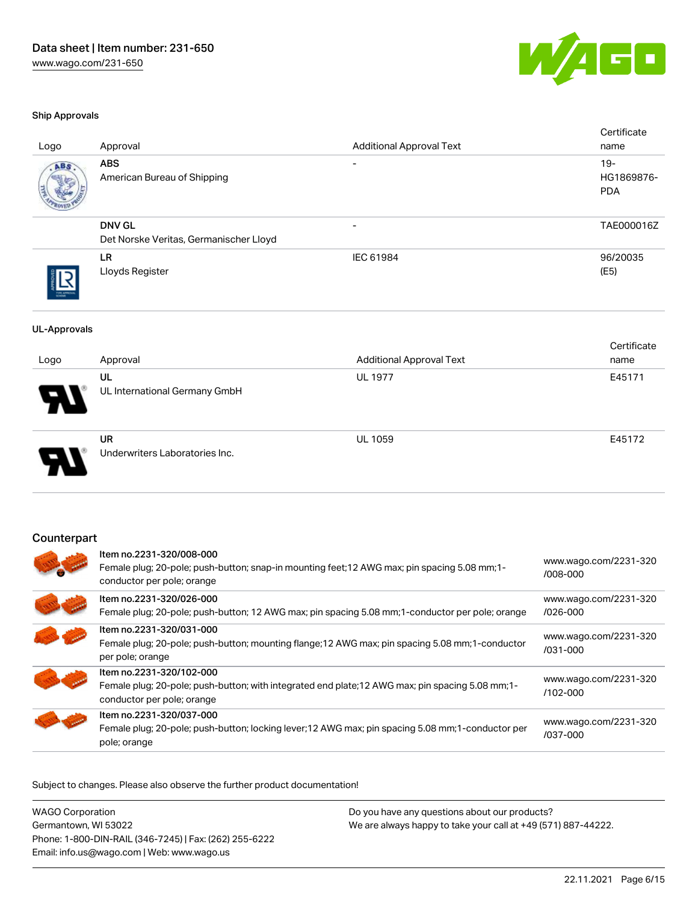

#### Ship Approvals

| Logo                | Approval                                                | <b>Additional Approval Text</b>                                                                   | Certificate<br>name                |
|---------------------|---------------------------------------------------------|---------------------------------------------------------------------------------------------------|------------------------------------|
| ABS                 | <b>ABS</b><br>American Bureau of Shipping               |                                                                                                   | $19 -$<br>HG1869876-<br><b>PDA</b> |
|                     | <b>DNV GL</b><br>Det Norske Veritas, Germanischer Lloyd |                                                                                                   | TAE000016Z                         |
|                     | <b>LR</b><br>Lloyds Register                            | IEC 61984                                                                                         | 96/20035<br>(E5)                   |
| <b>UL-Approvals</b> |                                                         |                                                                                                   |                                    |
| Logo                | Approval                                                | <b>Additional Approval Text</b>                                                                   | Certificate<br>name                |
|                     | <b>UL</b><br>UL International Germany GmbH              | <b>UL 1977</b>                                                                                    | E45171                             |
|                     | <b>UR</b><br>Underwriters Laboratories Inc.             | <b>UL 1059</b>                                                                                    | E45172                             |
| Counterpart         |                                                         |                                                                                                   |                                    |
|                     | Item no.2231-320/008-000<br>conductor per pole; orange  | Female plug; 20-pole; push-button; snap-in mounting feet; 12 AWG max; pin spacing 5.08 mm; 1-     | www.wago.com/2231-320<br>/008-000  |
|                     | Item no.2231-320/026-000                                | Female plug; 20-pole; push-button; 12 AWG max; pin spacing 5.08 mm; 1-conductor per pole; orange  | www.wago.com/2231-320<br>/026-000  |
|                     | Item no.2231-320/031-000<br>per pole; orange            | Female plug; 20-pole; push-button; mounting flange; 12 AWG max; pin spacing 5.08 mm; 1-conductor  | www.wago.com/2231-320<br>/031-000  |
|                     | Item no.2231-320/102-000<br>conductor per pole; orange  | Female plug; 20-pole; push-button; with integrated end plate; 12 AWG max; pin spacing 5.08 mm; 1- | www.wago.com/2231-320<br>/102-000  |
|                     | Item no.2231-320/037-000                                |                                                                                                   | www.wago.com/2231-320              |

Subject to changes. Please also observe the further product documentation!

pole; orange

WAGO Corporation Germantown, WI 53022 Phone: 1-800-DIN-RAIL (346-7245) | Fax: (262) 255-6222 Email: info.us@wago.com | Web: www.wago.us Do you have any questions about our products? We are always happy to take your call at +49 (571) 887-44222.

Female plug; 20-pole; push-button; locking lever;12 AWG max; pin spacing 5.08 mm;1-conductor per

[/037-000](https://www.wago.com/2231-320/037-000)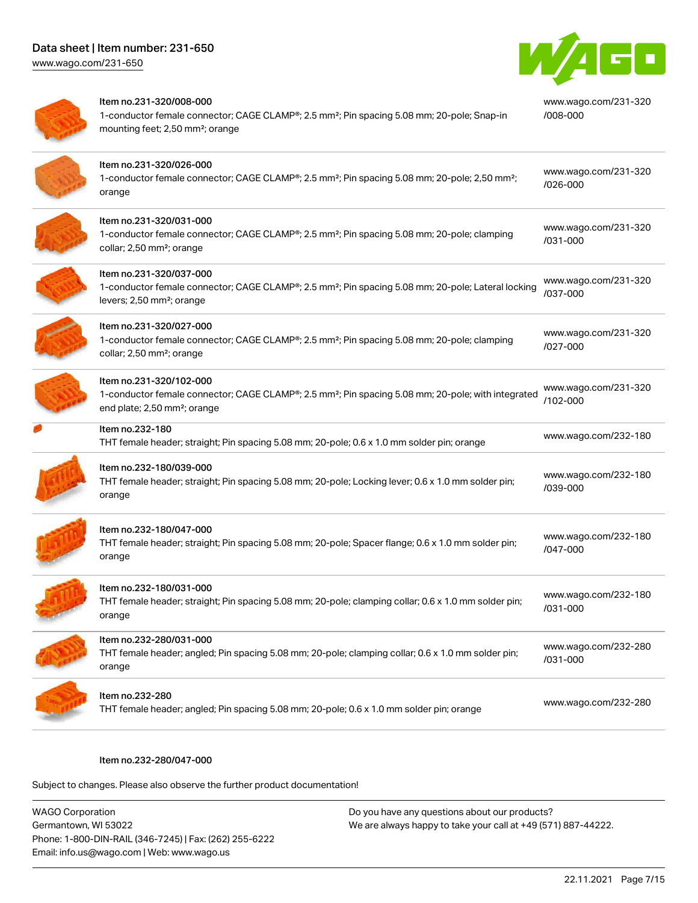

| Item no.231-320/008-000<br>1-conductor female connector; CAGE CLAMP®; 2.5 mm <sup>2</sup> ; Pin spacing 5.08 mm; 20-pole; Snap-in<br>mounting feet; 2,50 mm <sup>2</sup> ; orange     | www.wago.com/231-320<br>/008-000 |
|---------------------------------------------------------------------------------------------------------------------------------------------------------------------------------------|----------------------------------|
| Item no.231-320/026-000<br>1-conductor female connector; CAGE CLAMP®; 2.5 mm <sup>2</sup> ; Pin spacing 5.08 mm; 20-pole; 2,50 mm <sup>2</sup> ;<br>orange                            | www.wago.com/231-320<br>/026-000 |
| Item no.231-320/031-000<br>1-conductor female connector; CAGE CLAMP®; 2.5 mm <sup>2</sup> ; Pin spacing 5.08 mm; 20-pole; clamping<br>collar; 2,50 mm <sup>2</sup> ; orange           | www.wago.com/231-320<br>/031-000 |
| Item no.231-320/037-000<br>1-conductor female connector; CAGE CLAMP®; 2.5 mm <sup>2</sup> ; Pin spacing 5.08 mm; 20-pole; Lateral locking<br>levers; 2,50 mm <sup>2</sup> ; orange    | www.wago.com/231-320<br>/037-000 |
| Item no.231-320/027-000<br>1-conductor female connector; CAGE CLAMP®; 2.5 mm <sup>2</sup> ; Pin spacing 5.08 mm; 20-pole; clamping<br>collar; 2,50 mm <sup>2</sup> ; orange           | www.wago.com/231-320<br>/027-000 |
| Item no.231-320/102-000<br>1-conductor female connector; CAGE CLAMP®; 2.5 mm <sup>2</sup> ; Pin spacing 5.08 mm; 20-pole; with integrated<br>end plate; 2,50 mm <sup>2</sup> ; orange | www.wago.com/231-320<br>/102-000 |
| Item no.232-180<br>THT female header; straight; Pin spacing 5.08 mm; 20-pole; 0.6 x 1.0 mm solder pin; orange                                                                         | www.wago.com/232-180             |
| Item no.232-180/039-000<br>THT female header; straight; Pin spacing 5.08 mm; 20-pole; Locking lever; 0.6 x 1.0 mm solder pin;<br>orange                                               | www.wago.com/232-180<br>/039-000 |
| Item no.232-180/047-000<br>THT female header; straight; Pin spacing 5.08 mm; 20-pole; Spacer flange; 0.6 x 1.0 mm solder pin;<br>orange                                               | www.wago.com/232-180<br>/047-000 |
| Item no.232-180/031-000<br>THT female header; straight; Pin spacing 5.08 mm; 20-pole; clamping collar; 0.6 x 1.0 mm solder pin;<br>orange                                             | www.wago.com/232-180<br>/031-000 |
| Item no.232-280/031-000<br>THT female header; angled; Pin spacing 5.08 mm; 20-pole; clamping collar; 0.6 x 1.0 mm solder pin;<br>orange                                               | www.wago.com/232-280<br>/031-000 |
| Item no.232-280<br>THT female header; angled; Pin spacing 5.08 mm; 20-pole; 0.6 x 1.0 mm solder pin; orange                                                                           | www.wago.com/232-280             |

#### Item no.232-280/047-000

| <b>WAGO Corporation</b>                                | Do you have any questions about our products?                 |
|--------------------------------------------------------|---------------------------------------------------------------|
| Germantown, WI 53022                                   | We are always happy to take your call at +49 (571) 887-44222. |
| Phone: 1-800-DIN-RAIL (346-7245)   Fax: (262) 255-6222 |                                                               |
| Email: info.us@wago.com   Web: www.wago.us             |                                                               |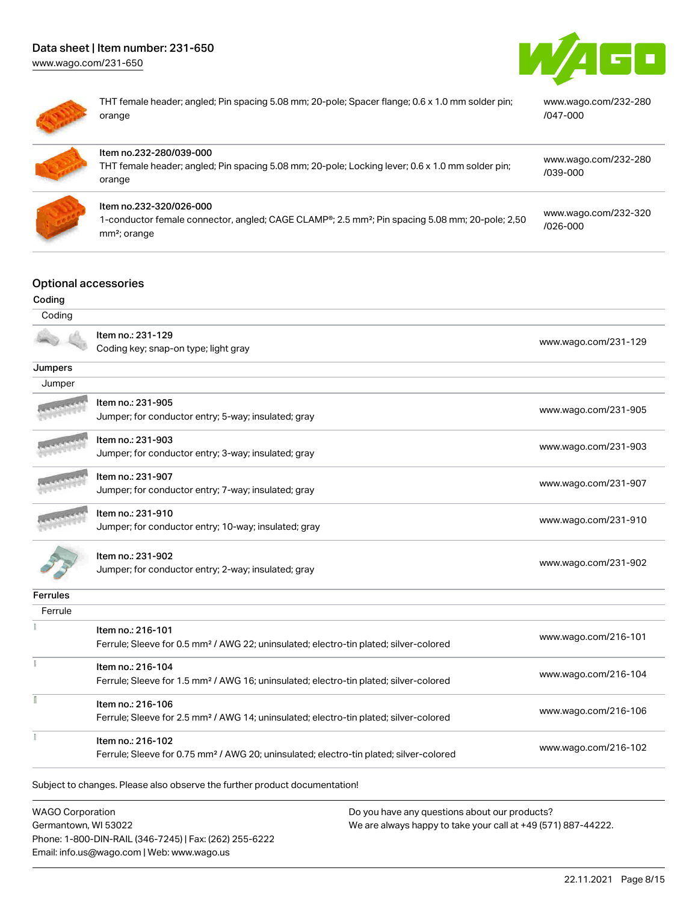[www.wago.com/231-650](http://www.wago.com/231-650)





THT female header; angled; Pin spacing 5.08 mm; 20-pole; Spacer flange; 0.6 x 1.0 mm solder pin; orange

[www.wago.com/232-280](https://www.wago.com/232-280/047-000) [/047-000](https://www.wago.com/232-280/047-000)

| Item no.232-280/039-000<br>THT female header; angled; Pin spacing 5.08 mm; 20-pole; Locking lever; 0.6 x 1.0 mm solder pin;<br>orange                              | www.wago.com/232-280<br>/039-000     |
|--------------------------------------------------------------------------------------------------------------------------------------------------------------------|--------------------------------------|
| ltem no.232-320/026-000<br>1-conductor female connector, angled; CAGE CLAMP®; 2.5 mm <sup>2</sup> ; Pin spacing 5.08 mm; 20-pole; 2,50<br>mm <sup>2</sup> ; orange | www.wago.com/232-320<br>$1026 - 000$ |

# Optional accessories

| Coding                     |                                                                                                                        |                      |
|----------------------------|------------------------------------------------------------------------------------------------------------------------|----------------------|
| Coding                     |                                                                                                                        |                      |
|                            | Item no.: 231-129                                                                                                      | www.wago.com/231-129 |
|                            | Coding key; snap-on type; light gray                                                                                   |                      |
| Jumpers                    |                                                                                                                        |                      |
| Jumper                     |                                                                                                                        |                      |
|                            | Item no.: 231-905                                                                                                      | www.wago.com/231-905 |
|                            | Jumper; for conductor entry; 5-way; insulated; gray                                                                    |                      |
|                            | Item no.: 231-903                                                                                                      |                      |
|                            | Jumper; for conductor entry; 3-way; insulated; gray                                                                    | www.wago.com/231-903 |
|                            | Item no.: 231-907                                                                                                      |                      |
|                            | Jumper; for conductor entry; 7-way; insulated; gray                                                                    | www.wago.com/231-907 |
|                            | Item no.: 231-910                                                                                                      |                      |
|                            | Jumper; for conductor entry; 10-way; insulated; gray                                                                   | www.wago.com/231-910 |
|                            | Item no.: 231-902                                                                                                      |                      |
|                            | Jumper; for conductor entry; 2-way; insulated; gray                                                                    | www.wago.com/231-902 |
|                            |                                                                                                                        |                      |
| <b>Ferrules</b><br>Ferrule |                                                                                                                        |                      |
|                            |                                                                                                                        |                      |
|                            | Item no.: 216-101<br>Ferrule; Sleeve for 0.5 mm <sup>2</sup> / AWG 22; uninsulated; electro-tin plated; silver-colored | www.wago.com/216-101 |
|                            |                                                                                                                        |                      |
|                            | Item no.: 216-104                                                                                                      | www.wago.com/216-104 |
|                            | Ferrule; Sleeve for 1.5 mm <sup>2</sup> / AWG 16; uninsulated; electro-tin plated; silver-colored                      |                      |
|                            | Item no.: 216-106                                                                                                      | www.wago.com/216-106 |
|                            | Ferrule; Sleeve for 2.5 mm <sup>2</sup> / AWG 14; uninsulated; electro-tin plated; silver-colored                      |                      |
|                            | Item no.: 216-102                                                                                                      |                      |
|                            | Ferrule; Sleeve for 0.75 mm <sup>2</sup> / AWG 20; uninsulated; electro-tin plated; silver-colored                     | www.wago.com/216-102 |

WAGO Corporation Germantown, WI 53022 Phone: 1-800-DIN-RAIL (346-7245) | Fax: (262) 255-6222 Email: info.us@wago.com | Web: www.wago.us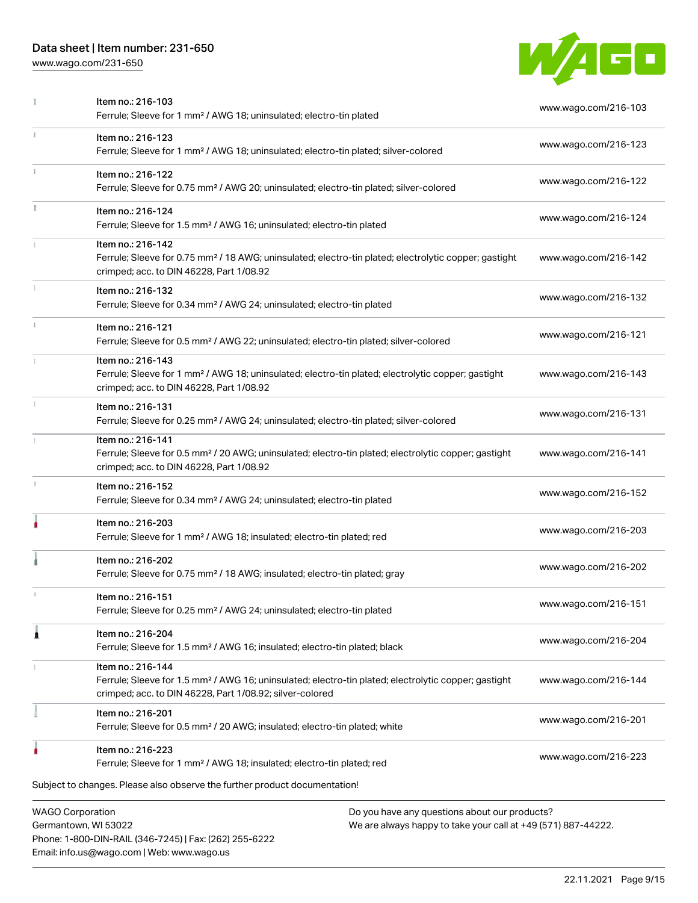Phone: 1-800-DIN-RAIL (346-7245) | Fax: (262) 255-6222

Email: info.us@wago.com | Web: www.wago.us

[www.wago.com/231-650](http://www.wago.com/231-650)



|    | Item no.: 216-103<br>Ferrule; Sleeve for 1 mm <sup>2</sup> / AWG 18; uninsulated; electro-tin plated                                                                                              |                                                                                                                | www.wago.com/216-103 |
|----|---------------------------------------------------------------------------------------------------------------------------------------------------------------------------------------------------|----------------------------------------------------------------------------------------------------------------|----------------------|
| ī. | Item no.: 216-123<br>Ferrule; Sleeve for 1 mm <sup>2</sup> / AWG 18; uninsulated; electro-tin plated; silver-colored                                                                              |                                                                                                                | www.wago.com/216-123 |
|    | Item no.: 216-122<br>Ferrule; Sleeve for 0.75 mm <sup>2</sup> / AWG 20; uninsulated; electro-tin plated; silver-colored                                                                           |                                                                                                                | www.wago.com/216-122 |
| I. | Item no.: 216-124<br>Ferrule; Sleeve for 1.5 mm <sup>2</sup> / AWG 16; uninsulated; electro-tin plated                                                                                            |                                                                                                                | www.wago.com/216-124 |
|    | Item no.: 216-142<br>Ferrule; Sleeve for 0.75 mm <sup>2</sup> / 18 AWG; uninsulated; electro-tin plated; electrolytic copper; gastight<br>crimped; acc. to DIN 46228, Part 1/08.92                |                                                                                                                | www.wago.com/216-142 |
|    | Item no.: 216-132<br>Ferrule; Sleeve for 0.34 mm <sup>2</sup> / AWG 24; uninsulated; electro-tin plated                                                                                           |                                                                                                                | www.wago.com/216-132 |
| ī. | Item no.: 216-121<br>Ferrule; Sleeve for 0.5 mm <sup>2</sup> / AWG 22; uninsulated; electro-tin plated; silver-colored                                                                            |                                                                                                                | www.wago.com/216-121 |
|    | Item no.: 216-143<br>Ferrule; Sleeve for 1 mm <sup>2</sup> / AWG 18; uninsulated; electro-tin plated; electrolytic copper; gastight<br>crimped; acc. to DIN 46228, Part 1/08.92                   |                                                                                                                | www.wago.com/216-143 |
|    | Item no.: 216-131<br>Ferrule; Sleeve for 0.25 mm <sup>2</sup> / AWG 24; uninsulated; electro-tin plated; silver-colored                                                                           |                                                                                                                | www.wago.com/216-131 |
|    | Item no.: 216-141<br>Ferrule; Sleeve for 0.5 mm <sup>2</sup> / 20 AWG; uninsulated; electro-tin plated; electrolytic copper; gastight<br>crimped; acc. to DIN 46228, Part 1/08.92                 |                                                                                                                | www.wago.com/216-141 |
|    | Item no.: 216-152<br>Ferrule; Sleeve for 0.34 mm <sup>2</sup> / AWG 24; uninsulated; electro-tin plated                                                                                           |                                                                                                                | www.wago.com/216-152 |
|    | Item no.: 216-203<br>Ferrule; Sleeve for 1 mm <sup>2</sup> / AWG 18; insulated; electro-tin plated; red                                                                                           |                                                                                                                | www.wago.com/216-203 |
|    | Item no.: 216-202<br>Ferrule; Sleeve for 0.75 mm <sup>2</sup> / 18 AWG; insulated; electro-tin plated; gray                                                                                       |                                                                                                                | www.wago.com/216-202 |
|    | Item no.: 216-151<br>Ferrule; Sleeve for 0.25 mm <sup>2</sup> / AWG 24; uninsulated; electro-tin plated                                                                                           |                                                                                                                | www.wago.com/216-151 |
|    | Item no.: 216-204<br>Ferrule; Sleeve for 1.5 mm <sup>2</sup> / AWG 16; insulated; electro-tin plated; black                                                                                       |                                                                                                                | www.wago.com/216-204 |
|    | Item no.: 216-144<br>Ferrule; Sleeve for 1.5 mm <sup>2</sup> / AWG 16; uninsulated; electro-tin plated; electrolytic copper; gastight<br>crimped; acc. to DIN 46228, Part 1/08.92; silver-colored |                                                                                                                | www.wago.com/216-144 |
|    | Item no.: 216-201<br>Ferrule; Sleeve for 0.5 mm <sup>2</sup> / 20 AWG; insulated; electro-tin plated; white                                                                                       |                                                                                                                | www.wago.com/216-201 |
|    | Item no.: 216-223<br>Ferrule; Sleeve for 1 mm <sup>2</sup> / AWG 18; insulated; electro-tin plated; red                                                                                           |                                                                                                                | www.wago.com/216-223 |
|    | Subject to changes. Please also observe the further product documentation!                                                                                                                        |                                                                                                                |                      |
|    | <b>WAGO Corporation</b><br>Germantown, WI 53022                                                                                                                                                   | Do you have any questions about our products?<br>We are always happy to take your call at +49 (571) 887-44222. |                      |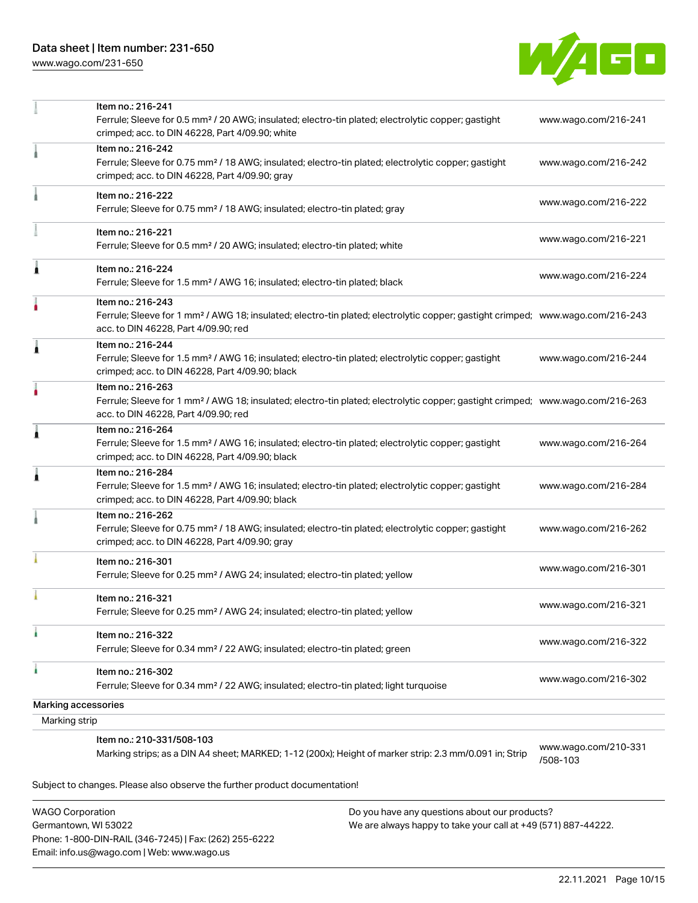[www.wago.com/231-650](http://www.wago.com/231-650)



|               | Item no.: 216-241<br>Ferrule; Sleeve for 0.5 mm <sup>2</sup> / 20 AWG; insulated; electro-tin plated; electrolytic copper; gastight<br>crimped; acc. to DIN 46228, Part 4/09.90; white                  | www.wago.com/216-241             |
|---------------|---------------------------------------------------------------------------------------------------------------------------------------------------------------------------------------------------------|----------------------------------|
|               | Item no.: 216-242<br>Ferrule; Sleeve for 0.75 mm <sup>2</sup> / 18 AWG; insulated; electro-tin plated; electrolytic copper; gastight<br>crimped; acc. to DIN 46228, Part 4/09.90; gray                  | www.wago.com/216-242             |
|               | Item no.: 216-222<br>Ferrule; Sleeve for 0.75 mm <sup>2</sup> / 18 AWG; insulated; electro-tin plated; gray                                                                                             | www.wago.com/216-222             |
|               | Item no.: 216-221<br>Ferrule; Sleeve for 0.5 mm <sup>2</sup> / 20 AWG; insulated; electro-tin plated; white                                                                                             | www.wago.com/216-221             |
| Â             | Item no.: 216-224<br>Ferrule; Sleeve for 1.5 mm <sup>2</sup> / AWG 16; insulated; electro-tin plated; black                                                                                             | www.wago.com/216-224             |
|               | Item no.: 216-243<br>Ferrule; Sleeve for 1 mm <sup>2</sup> / AWG 18; insulated; electro-tin plated; electrolytic copper; gastight crimped; www.wago.com/216-243<br>acc. to DIN 46228, Part 4/09.90; red |                                  |
| 1             | Item no.: 216-244<br>Ferrule; Sleeve for 1.5 mm <sup>2</sup> / AWG 16; insulated; electro-tin plated; electrolytic copper; gastight<br>crimped; acc. to DIN 46228, Part 4/09.90; black                  | www.wago.com/216-244             |
|               | Item no.: 216-263<br>Ferrule; Sleeve for 1 mm <sup>2</sup> / AWG 18; insulated; electro-tin plated; electrolytic copper; gastight crimped; www.wago.com/216-263<br>acc. to DIN 46228, Part 4/09.90; red |                                  |
| Â             | Item no.: 216-264<br>Ferrule; Sleeve for 1.5 mm <sup>2</sup> / AWG 16; insulated; electro-tin plated; electrolytic copper; gastight<br>crimped; acc. to DIN 46228, Part 4/09.90; black                  | www.wago.com/216-264             |
| Â             | Item no.: 216-284<br>Ferrule; Sleeve for 1.5 mm <sup>2</sup> / AWG 16; insulated; electro-tin plated; electrolytic copper; gastight<br>crimped; acc. to DIN 46228, Part 4/09.90; black                  | www.wago.com/216-284             |
|               | Item no.: 216-262<br>Ferrule; Sleeve for 0.75 mm <sup>2</sup> / 18 AWG; insulated; electro-tin plated; electrolytic copper; gastight<br>crimped; acc. to DIN 46228, Part 4/09.90; gray                  | www.wago.com/216-262             |
|               | Item no.: 216-301<br>Ferrule; Sleeve for 0.25 mm <sup>2</sup> / AWG 24; insulated; electro-tin plated; yellow                                                                                           | www.wago.com/216-301             |
|               | Item no.: 216-321<br>Ferrule; Sleeve for 0.25 mm <sup>2</sup> / AWG 24; insulated; electro-tin plated; yellow                                                                                           | www.wago.com/216-321             |
|               | Item no.: 216-322<br>Ferrule; Sleeve for 0.34 mm <sup>2</sup> / 22 AWG; insulated; electro-tin plated; green                                                                                            | www.wago.com/216-322             |
| ٠             | Item no.: 216-302<br>Ferrule; Sleeve for 0.34 mm <sup>2</sup> / 22 AWG; insulated; electro-tin plated; light turquoise                                                                                  | www.wago.com/216-302             |
|               | <b>Marking accessories</b>                                                                                                                                                                              |                                  |
| Marking strip |                                                                                                                                                                                                         |                                  |
|               | Item no.: 210-331/508-103<br>Marking strips; as a DIN A4 sheet; MARKED; 1-12 (200x); Height of marker strip: 2.3 mm/0.091 in; Strip                                                                     | www.wago.com/210-331<br>/508-103 |

Subject to changes. Please also observe the further product documentation!

WAGO Corporation Germantown, WI 53022 Phone: 1-800-DIN-RAIL (346-7245) | Fax: (262) 255-6222 Email: info.us@wago.com | Web: www.wago.us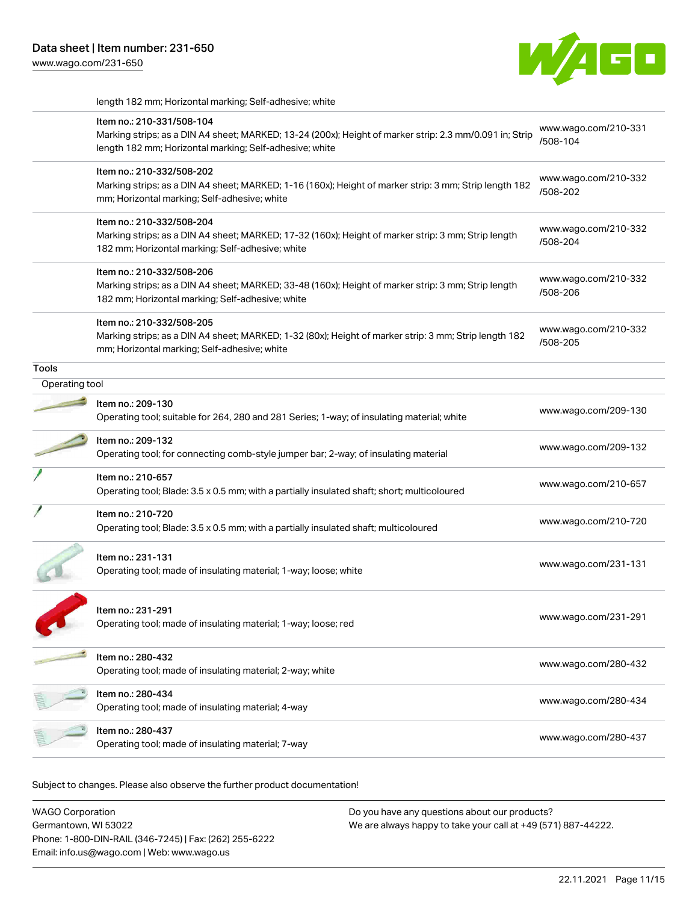length 182 mm; Horizontal marking; Self-adhesive; white

|                | Item no.: 210-331/508-104<br>Marking strips; as a DIN A4 sheet; MARKED; 13-24 (200x); Height of marker strip: 2.3 mm/0.091 in; Strip<br>length 182 mm; Horizontal marking; Self-adhesive; white | www.wago.com/210-331<br>/508-104 |
|----------------|-------------------------------------------------------------------------------------------------------------------------------------------------------------------------------------------------|----------------------------------|
|                | Item no.: 210-332/508-202<br>Marking strips; as a DIN A4 sheet; MARKED; 1-16 (160x); Height of marker strip: 3 mm; Strip length 182<br>mm; Horizontal marking; Self-adhesive; white             | www.wago.com/210-332<br>/508-202 |
|                | Item no.: 210-332/508-204<br>Marking strips; as a DIN A4 sheet; MARKED; 17-32 (160x); Height of marker strip: 3 mm; Strip length<br>182 mm; Horizontal marking; Self-adhesive; white            | www.wago.com/210-332<br>/508-204 |
|                | Item no.: 210-332/508-206<br>Marking strips; as a DIN A4 sheet; MARKED; 33-48 (160x); Height of marker strip: 3 mm; Strip length<br>182 mm; Horizontal marking; Self-adhesive; white            | www.wago.com/210-332<br>/508-206 |
|                | Item no.: 210-332/508-205<br>Marking strips; as a DIN A4 sheet; MARKED; 1-32 (80x); Height of marker strip: 3 mm; Strip length 182<br>mm; Horizontal marking; Self-adhesive; white              | www.wago.com/210-332<br>/508-205 |
| Tools          |                                                                                                                                                                                                 |                                  |
| Operating tool |                                                                                                                                                                                                 |                                  |
|                | Item no.: 209-130<br>Operating tool; suitable for 264, 280 and 281 Series; 1-way; of insulating material; white                                                                                 | www.wago.com/209-130             |
|                | Item no.: 209-132<br>Operating tool; for connecting comb-style jumper bar; 2-way; of insulating material                                                                                        | www.wago.com/209-132             |
|                | Item no.: 210-657<br>Operating tool; Blade: 3.5 x 0.5 mm; with a partially insulated shaft; short; multicoloured                                                                                | www.wago.com/210-657             |
|                | Item no.: 210-720<br>Operating tool; Blade: 3.5 x 0.5 mm; with a partially insulated shaft; multicoloured                                                                                       | www.wago.com/210-720             |
|                | Item no.: 231-131<br>Operating tool; made of insulating material; 1-way; loose; white                                                                                                           | www.wago.com/231-131             |
|                | ltem no.: 231-291<br>Operating tool; made of insulating material; 1-way; loose; red                                                                                                             | www.wago.com/231-291             |
|                | Item no.: 280-432<br>Operating tool; made of insulating material; 2-way; white                                                                                                                  | www.wago.com/280-432             |
|                | Item no.: 280-434<br>Operating tool; made of insulating material; 4-way                                                                                                                         | www.wago.com/280-434             |
|                | Item no.: 280-437<br>Operating tool; made of insulating material; 7-way                                                                                                                         | www.wago.com/280-437             |
|                |                                                                                                                                                                                                 |                                  |

Subject to changes. Please also observe the further product documentation!

WAGO Corporation Germantown, WI 53022 Phone: 1-800-DIN-RAIL (346-7245) | Fax: (262) 255-6222 Email: info.us@wago.com | Web: www.wago.us Do you have any questions about our products? We are always happy to take your call at +49 (571) 887-44222.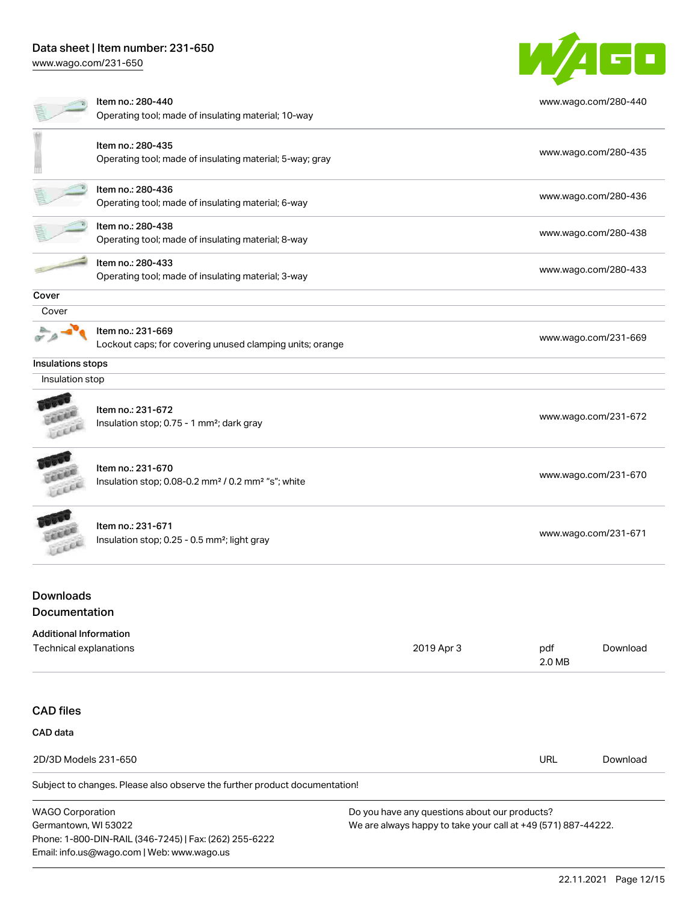Phone: 1-800-DIN-RAIL (346-7245) | Fax: (262) 255-6222

Email: info.us@wago.com | Web: www.wago.us

[www.wago.com/231-650](http://www.wago.com/231-650)



|                                                 | Item no.: 280-440<br>Operating tool; made of insulating material; 10-way                        |                                                                                                                |                      | www.wago.com/280-440 |  |
|-------------------------------------------------|-------------------------------------------------------------------------------------------------|----------------------------------------------------------------------------------------------------------------|----------------------|----------------------|--|
|                                                 | Item no.: 280-435                                                                               |                                                                                                                |                      |                      |  |
|                                                 | Operating tool; made of insulating material; 5-way; gray                                        |                                                                                                                |                      | www.wago.com/280-435 |  |
|                                                 | Item no.: 280-436<br>Operating tool; made of insulating material; 6-way                         |                                                                                                                |                      | www.wago.com/280-436 |  |
|                                                 |                                                                                                 |                                                                                                                |                      |                      |  |
|                                                 | Item no.: 280-438<br>Operating tool; made of insulating material; 8-way                         |                                                                                                                |                      | www.wago.com/280-438 |  |
|                                                 | Item no.: 280-433<br>Operating tool; made of insulating material; 3-way                         |                                                                                                                |                      | www.wago.com/280-433 |  |
| Cover                                           |                                                                                                 |                                                                                                                |                      |                      |  |
| Cover                                           |                                                                                                 |                                                                                                                |                      |                      |  |
|                                                 |                                                                                                 |                                                                                                                |                      |                      |  |
|                                                 | Item no.: 231-669<br>Lockout caps; for covering unused clamping units; orange                   |                                                                                                                |                      | www.wago.com/231-669 |  |
| Insulations stops                               |                                                                                                 |                                                                                                                |                      |                      |  |
| Insulation stop                                 |                                                                                                 |                                                                                                                |                      |                      |  |
|                                                 | Item no.: 231-672<br>Insulation stop; 0.75 - 1 mm <sup>2</sup> ; dark gray                      |                                                                                                                |                      | www.wago.com/231-672 |  |
| Leece                                           | Item no.: 231-670<br>Insulation stop; 0.08-0.2 mm <sup>2</sup> / 0.2 mm <sup>2</sup> "s"; white |                                                                                                                |                      | www.wago.com/231-670 |  |
| cell                                            | Item no.: 231-671<br>Insulation stop; 0.25 - 0.5 mm <sup>2</sup> ; light gray                   |                                                                                                                | www.wago.com/231-671 |                      |  |
| <b>Downloads</b><br>Documentation               |                                                                                                 |                                                                                                                |                      |                      |  |
| <b>Additional Information</b>                   |                                                                                                 |                                                                                                                |                      |                      |  |
| Technical explanations                          |                                                                                                 | 2019 Apr 3                                                                                                     | pdf<br>2.0 MB        | Download             |  |
| <b>CAD files</b>                                |                                                                                                 |                                                                                                                |                      |                      |  |
| CAD data                                        |                                                                                                 |                                                                                                                |                      |                      |  |
| 2D/3D Models 231-650                            |                                                                                                 |                                                                                                                | <b>URL</b>           | Download             |  |
|                                                 | Subject to changes. Please also observe the further product documentation!                      |                                                                                                                |                      |                      |  |
|                                                 |                                                                                                 |                                                                                                                |                      |                      |  |
| <b>WAGO Corporation</b><br>Germantown, WI 53022 |                                                                                                 | Do you have any questions about our products?<br>We are always happy to take your call at +49 (571) 887-44222. |                      |                      |  |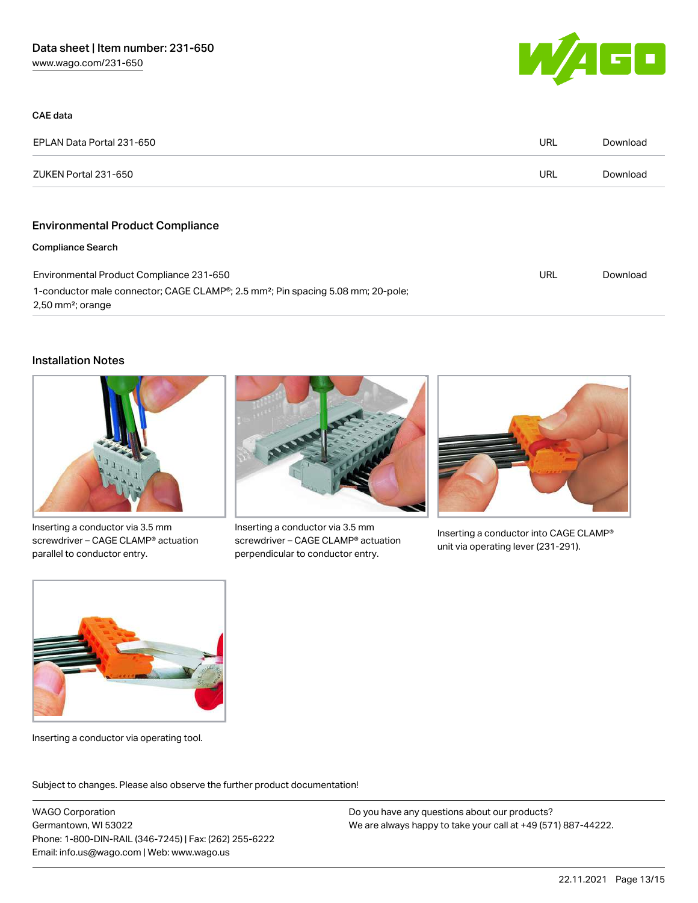

| CAE data                                                                                                                                     |            |          |
|----------------------------------------------------------------------------------------------------------------------------------------------|------------|----------|
| EPLAN Data Portal 231-650                                                                                                                    | URL        | Download |
| ZUKEN Portal 231-650                                                                                                                         | <b>URL</b> | Download |
|                                                                                                                                              |            |          |
| <b>Environmental Product Compliance</b>                                                                                                      |            |          |
| <b>Compliance Search</b>                                                                                                                     |            |          |
| Environmental Product Compliance 231-650                                                                                                     |            | Download |
| 1-conductor male connector; CAGE CLAMP <sup>®</sup> ; 2.5 mm <sup>2</sup> ; Pin spacing 5.08 mm; 20-pole;<br>$2,50$ mm <sup>2</sup> ; orange |            |          |

#### Installation Notes



Inserting a conductor via 3.5 mm screwdriver – CAGE CLAMP® actuation parallel to conductor entry.



Inserting a conductor via 3.5 mm screwdriver – CAGE CLAMP® actuation perpendicular to conductor entry.



Inserting a conductor into CAGE CLAMP® unit via operating lever (231-291).



Inserting a conductor via operating tool.

Subject to changes. Please also observe the further product documentation!

WAGO Corporation Germantown, WI 53022 Phone: 1-800-DIN-RAIL (346-7245) | Fax: (262) 255-6222 Email: info.us@wago.com | Web: www.wago.us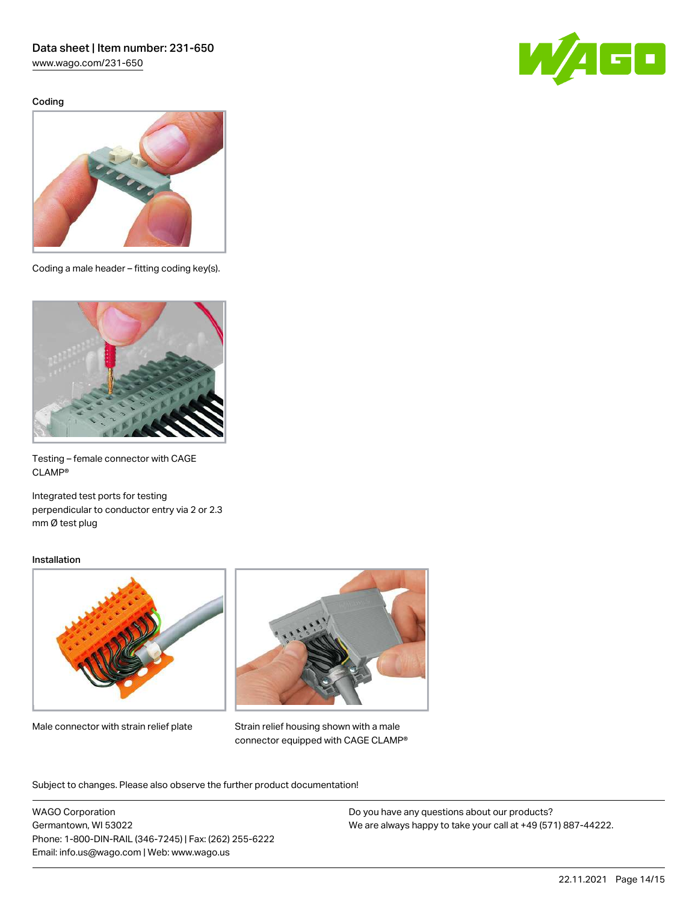[www.wago.com/231-650](http://www.wago.com/231-650)

Coding





Coding a male header – fitting coding key(s).



Testing – female connector with CAGE CLAMP®

Integrated test ports for testing perpendicular to conductor entry via 2 or 2.3 mm Ø test plug

#### Installation



Male connector with strain relief plate



Strain relief housing shown with a male connector equipped with CAGE CLAMP®

Subject to changes. Please also observe the further product documentation!

WAGO Corporation Germantown, WI 53022 Phone: 1-800-DIN-RAIL (346-7245) | Fax: (262) 255-6222 Email: info.us@wago.com | Web: www.wago.us